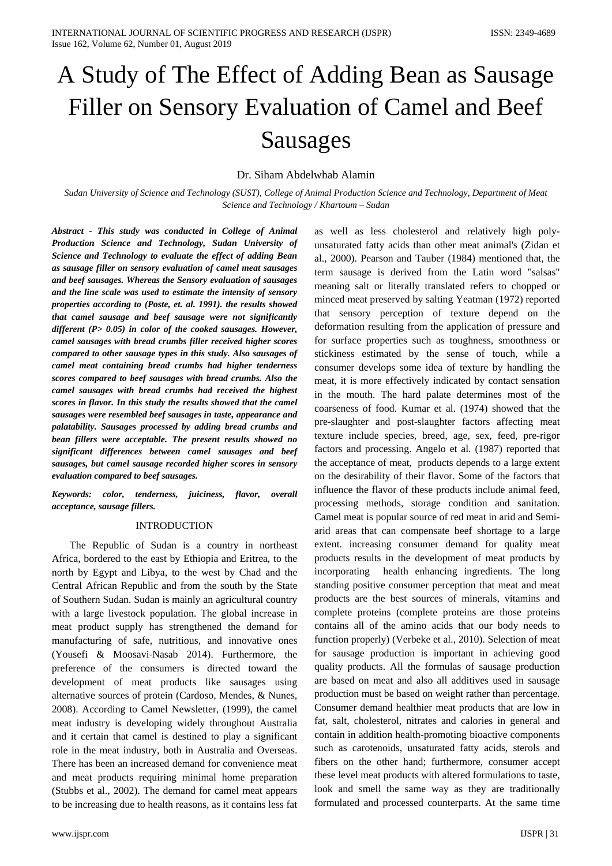# A Study of The Effect of Adding Bean as Sausage Filler on Sensory Evaluation of Camel and Beef Sausages

# Dr. Siham Abdelwhab Alamin

*Sudan University of Science and Technology (SUST), College of Animal Production Science and Technology, Department of Meat Science and Technology / Khartoum – Sudan*

*Abstract - This study was conducted in College of Animal Production Science and Technology, Sudan University of Science and Technology to evaluate the effect of adding Bean as sausage filler on sensory evaluation of camel meat sausages and beef sausages. Whereas the Sensory evaluation of sausages and the line scale was used to estimate the intensity of sensory properties according to (Poste, et. al. 1991). the results showed that camel sausage and beef sausage were not significantly different (P> 0.05) in color of the cooked sausages. However, camel sausages with bread crumbs filler received higher scores compared to other sausage types in this study. Also sausages of camel meat containing bread crumbs had higher tenderness scores compared to beef sausages with bread crumbs. Also the camel sausages with bread crumbs had received the highest scores in flavor. In this study the results showed that the camel sausages were resembled beef sausages in taste, appearance and palatability. Sausages processed by adding bread crumbs and bean fillers were acceptable. The present results showed no significant differences between camel sausages and beef sausages, but camel sausage recorded higher scores in sensory evaluation compared to beef sausages.* 

*Keywords: color, tenderness, juiciness, flavor, overall acceptance, sausage fillers.*

### INTRODUCTION

 The Republic of Sudan is a country in northeast Africa, bordered to the east by Ethiopia and Eritrea, to the north by Egypt and Libya, to the west by Chad and the Central African Republic and from the south by the State of Southern Sudan. Sudan is mainly an agricultural country with a large livestock population. The global increase in meat product supply has strengthened the demand for manufacturing of safe, nutritious, and innovative ones (Yousefi & Moosavi‐Nasab 2014). Furthermore, the preference of the consumers is directed toward the development of meat products like sausages using alternative sources of protein (Cardoso, Mendes, & Nunes, 2008). According to Camel Newsletter, (1999), the camel meat industry is developing widely throughout Australia and it certain that camel is destined to play a significant role in the meat industry, both in Australia and Overseas. There has been an increased demand for convenience meat and meat products requiring minimal home preparation (Stubbs et al., 2002). The demand for camel meat appears to be increasing due to health reasons, as it contains less fat meaning salt or literally translated refers to chopped or minced meat preserved by salting Yeatman (1972) reported that sensory perception of texture depend on the deformation resulting from the application of pressure and for surface properties such as toughness, smoothness or stickiness estimated by the sense of touch, while a consumer develops some idea of texture by handling the meat, it is more effectively indicated by contact sensation in the mouth. The hard palate determines most of the coarseness of food. Kumar et al. (1974) showed that the pre-slaughter and post-slaughter factors affecting meat texture include species, breed, age, sex, feed, pre-rigor factors and processing. Angelo et al. (1987) reported that the acceptance of meat, products depends to a large extent on the desirability of their flavor. Some of the factors that influence the flavor of these products include animal feed, processing methods, storage condition and sanitation. Camel meat is popular source of red meat in arid and Semiarid areas that can compensate beef shortage to a large extent. increasing consumer demand for quality meat products results in the development of meat products by incorporating health enhancing ingredients. The long standing positive consumer perception that meat and meat products are the best sources of minerals, vitamins and complete proteins (complete proteins are those proteins contains all of the amino acids that our body needs to function properly) (Verbeke et al., 2010). Selection of meat for sausage production is important in achieving good quality products. All the formulas of sausage production are based on meat and also all additives used in sausage production must be based on weight rather than percentage. Consumer demand healthier meat products that are low in fat, salt, cholesterol, nitrates and calories in general and contain in addition health-promoting bioactive components such as carotenoids, unsaturated fatty acids, sterols and fibers on the other hand; furthermore, consumer accept these level meat products with altered formulations to taste, look and smell the same way as they are traditionally formulated and processed counterparts. At the same time

as well as less cholesterol and relatively high polyunsaturated fatty acids than other meat animal's (Zidan et al., 2000). Pearson and Tauber (1984) mentioned that, the term sausage is derived from the Latin word "salsas"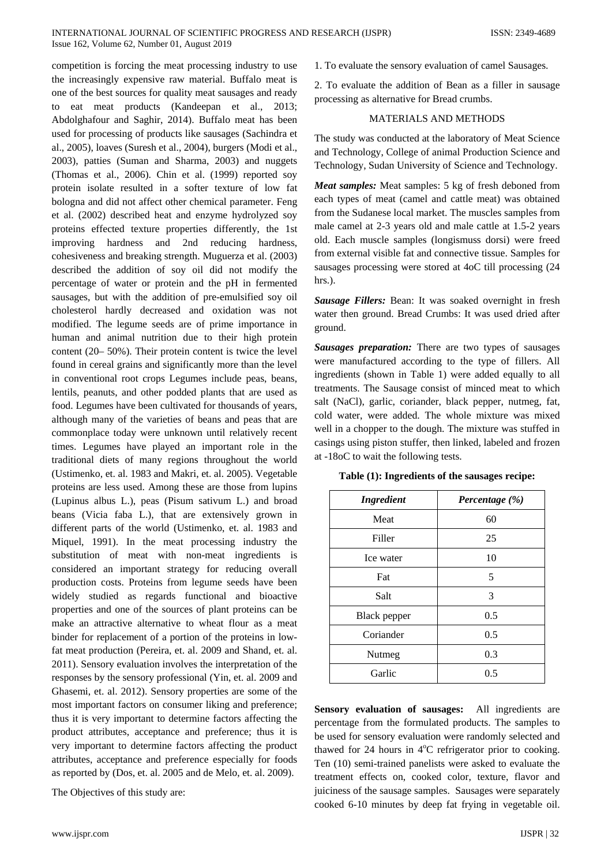competition is forcing the meat processing industry to use the increasingly expensive raw material. Buffalo meat is one of the best sources for quality meat sausages and ready to eat meat products (Kandeepan et al., 2013; Abdolghafour and Saghir, 2014). Buffalo meat has been used for processing of products like sausages (Sachindra et al., 2005), loaves (Suresh et al., 2004), burgers (Modi et al., 2003), patties (Suman and Sharma, 2003) and nuggets (Thomas et al., 2006). Chin et al. (1999) reported soy protein isolate resulted in a softer texture of low fat bologna and did not affect other chemical parameter. Feng et al. (2002) described heat and enzyme hydrolyzed soy proteins effected texture properties differently, the 1st improving hardness and 2nd reducing hardness, cohesiveness and breaking strength. Muguerza et al. (2003) described the addition of soy oil did not modify the percentage of water or protein and the pH in fermented sausages, but with the addition of pre-emulsified soy oil cholesterol hardly decreased and oxidation was not modified. The legume seeds are of prime importance in human and animal nutrition due to their high protein content (20– 50%). Their protein content is twice the level found in cereal grains and significantly more than the level in conventional root crops Legumes include peas, beans, lentils, peanuts, and other podded plants that are used as food. Legumes have been cultivated for thousands of years, although many of the varieties of beans and peas that are commonplace today were unknown until relatively recent times. Legumes have played an important role in the traditional diets of many regions throughout the world (Ustimenko, et. al. 1983 and Makri, et. al. 2005). Vegetable proteins are less used. Among these are those from lupins (Lupinus albus L.), peas (Pisum sativum L.) and broad beans (Vicia faba L.), that are extensively grown in different parts of the world (Ustimenko, et. al. 1983 and Miquel, 1991). In the meat processing industry the substitution of meat with non-meat ingredients is considered an important strategy for reducing overall production costs. Proteins from legume seeds have been widely studied as regards functional and bioactive properties and one of the sources of plant proteins can be make an attractive alternative to wheat flour as a meat binder for replacement of a portion of the proteins in lowfat meat production (Pereira, et. al. 2009 and Shand, et. al. 2011). Sensory evaluation involves the interpretation of the responses by the sensory professional (Yin, et. al. 2009 and Ghasemi, et. al. 2012). Sensory properties are some of the most important factors on consumer liking and preference; thus it is very important to determine factors affecting the product attributes, acceptance and preference; thus it is very important to determine factors affecting the product attributes, acceptance and preference especially for foods as reported by (Dos, et. al. 2005 and de Melo, et. al. 2009).

The Objectives of this study are:

1. To evaluate the sensory evaluation of camel Sausages.

2. To evaluate the addition of Bean as a filler in sausage processing as alternative for Bread crumbs.

## MATERIALS AND METHODS

The study was conducted at the laboratory of Meat Science and Technology, College of animal Production Science and Technology, Sudan University of Science and Technology.

*Meat samples:* Meat samples: 5 kg of fresh deboned from each types of meat (camel and cattle meat) was obtained from the Sudanese local market. The muscles samples from male camel at 2-3 years old and male cattle at 1.5-2 years old. Each muscle samples (longismuss dorsi) were freed from external visible fat and connective tissue. Samples for sausages processing were stored at 4oC till processing (24 hrs.).

*Sausage Fillers:* Bean: It was soaked overnight in fresh water then ground. Bread Crumbs: It was used dried after ground.

*Sausages preparation:* There are two types of sausages were manufactured according to the type of fillers. All ingredients (shown in Table 1) were added equally to all treatments. The Sausage consist of minced meat to which salt (NaCl), garlic, coriander, black pepper, nutmeg, fat, cold water, were added. The whole mixture was mixed well in a chopper to the dough. The mixture was stuffed in casings using piston stuffer, then linked, labeled and frozen at -18oC to wait the following tests.

| Table (1): Ingredients of the sausages recipe: |  |  |
|------------------------------------------------|--|--|
|------------------------------------------------|--|--|

| <b>Ingredient</b>   | Percentage (%) |  |  |  |
|---------------------|----------------|--|--|--|
| Meat                | 60             |  |  |  |
| Filler              | 25             |  |  |  |
| Ice water           | 10             |  |  |  |
| Fat                 | 5              |  |  |  |
| Salt                | 3              |  |  |  |
| <b>Black</b> pepper | 0.5            |  |  |  |
| Coriander           | 0.5            |  |  |  |
| Nutmeg              | 0.3            |  |  |  |
| Garlic              | 0.5            |  |  |  |

**Sensory evaluation of sausages:** All ingredients are percentage from the formulated products. The samples to be used for sensory evaluation were randomly selected and thawed for 24 hours in 4°C refrigerator prior to cooking. Ten (10) semi-trained panelists were asked to evaluate the treatment effects on, cooked color, texture, flavor and juiciness of the sausage samples. Sausages were separately cooked 6-10 minutes by deep fat frying in vegetable oil.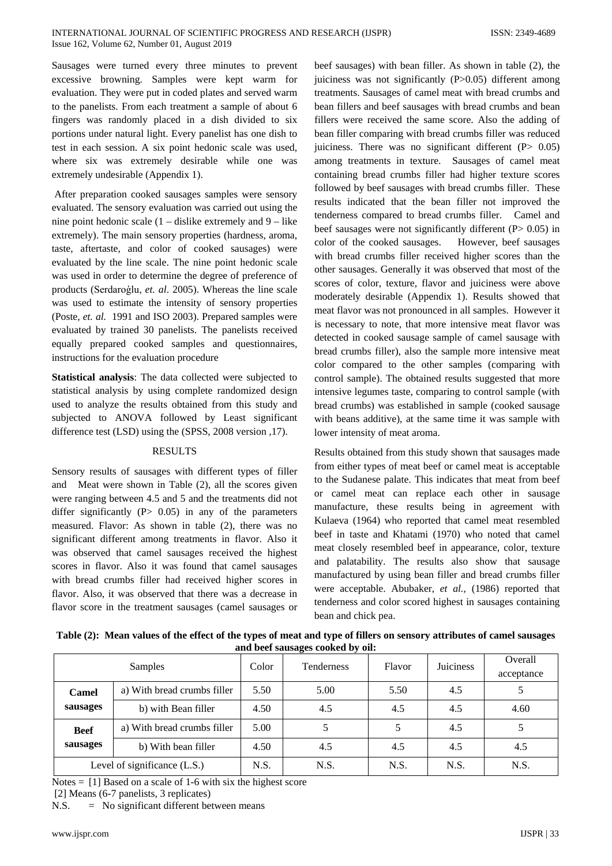Sausages were turned every three minutes to prevent excessive browning. Samples were kept warm for evaluation. They were put in coded plates and served warm to the panelists. From each treatment a sample of about 6 fingers was randomly placed in a dish divided to six portions under natural light. Every panelist has one dish to test in each session. A six point hedonic scale was used, where six was extremely desirable while one was extremely undesirable (Appendix 1).

After preparation cooked sausages samples were sensory evaluated. The sensory evaluation was carried out using the nine point hedonic scale  $(1 - \text{dislike extremely and } 9 - \text{like})$ extremely). The main sensory properties (hardness, aroma, taste, aftertaste, and color of cooked sausages) were evaluated by the line scale. The nine point hedonic scale was used in order to determine the degree of preference of products (Serdaroģlu, *et. al*. 2005). Whereas the line scale was used to estimate the intensity of sensory properties (Poste, *et. al.* 1991 and ISO 2003). Prepared samples were evaluated by trained 30 panelists. The panelists received equally prepared cooked samples and questionnaires, instructions for the evaluation procedure

**Statistical analysis**: The data collected were subjected to statistical analysis by using complete randomized design used to analyze the results obtained from this study and subjected to ANOVA followed by Least significant difference test (LSD) using the (SPSS, 2008 version ,17).

#### RESULTS

Sensory results of sausages with different types of filler and Meat were shown in Table (2), all the scores given were ranging between 4.5 and 5 and the treatments did not differ significantly  $(P> 0.05)$  in any of the parameters measured. Flavor: As shown in table (2), there was no significant different among treatments in flavor. Also it was observed that camel sausages received the highest scores in flavor. Also it was found that camel sausages with bread crumbs filler had received higher scores in flavor. Also, it was observed that there was a decrease in flavor score in the treatment sausages (camel sausages or

beef sausages) with bean filler. As shown in table (2), the juiciness was not significantly (P>0.05) different among treatments. Sausages of camel meat with bread crumbs and bean fillers and beef sausages with bread crumbs and bean fillers were received the same score. Also the adding of bean filler comparing with bread crumbs filler was reduced juiciness. There was no significant different  $(P> 0.05)$ among treatments in texture. Sausages of camel meat containing bread crumbs filler had higher texture scores followed by beef sausages with bread crumbs filler. These results indicated that the bean filler not improved the tenderness compared to bread crumbs filler. Camel and beef sausages were not significantly different (P > 0.05) in color of the cooked sausages. However, beef sausages with bread crumbs filler received higher scores than the other sausages. Generally it was observed that most of the scores of color, texture, flavor and juiciness were above moderately desirable (Appendix 1). Results showed that meat flavor was not pronounced in all samples. However it is necessary to note, that more intensive meat flavor was detected in cooked sausage sample of camel sausage with bread crumbs filler), also the sample more intensive meat color compared to the other samples (comparing with control sample). The obtained results suggested that more intensive legumes taste, comparing to control sample (with bread crumbs) was established in sample (cooked sausage with beans additive), at the same time it was sample with lower intensity of meat aroma.

Results obtained from this study shown that sausages made from either types of meat beef or camel meat is acceptable to the Sudanese palate. This indicates that meat from beef or camel meat can replace each other in sausage manufacture, these results being in agreement with Kulaeva (1964) who reported that camel meat resembled beef in taste and Khatami (1970) who noted that camel meat closely resembled beef in appearance, color, texture and palatability. The results also show that sausage manufactured by using bean filler and bread crumbs filler were acceptable. Abubaker, *et al.,* (1986) reported that tenderness and color scored highest in sausages containing bean and chick pea.

| Table (2): Mean values of the effect of the types of meat and type of fillers on sensory attributes of camel sausages |
|-----------------------------------------------------------------------------------------------------------------------|
| and beef sausages cooked by oil:                                                                                      |

| <b>Samples</b>               |                             | Color | <b>Tenderness</b> | Flavor | Juiciness | Overall<br>acceptance |
|------------------------------|-----------------------------|-------|-------------------|--------|-----------|-----------------------|
| Camel                        | a) With bread crumbs filler | 5.50  | 5.00              | 5.50   | 4.5       |                       |
| sausages                     | b) with Bean filler         | 4.50  | 4.5               | 4.5    | 4.5       | 4.60                  |
| <b>Beef</b><br>sausages      | a) With bread crumbs filler | 5.00  |                   |        | 4.5       |                       |
|                              | b) With bean filler         | 4.50  | 4.5               | 4.5    | 4.5       | 4.5                   |
| Level of significance (L.S.) |                             | N.S.  | N.S.              | N.S.   | N.S.      | N.S.                  |

Notes  $=$  [1] Based on a scale of 1-6 with six the highest score

[2] Means (6-7 panelists, 3 replicates)

N.S. = No significant different between means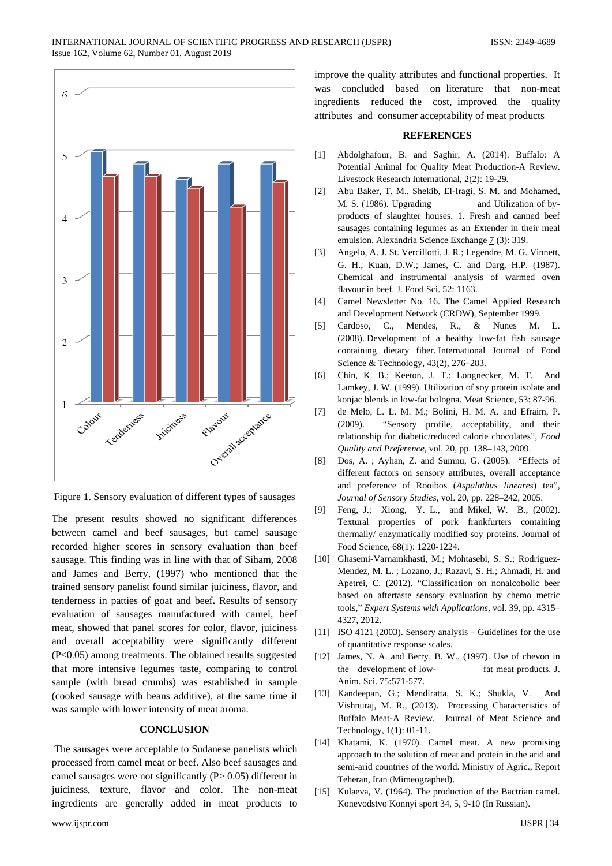

Figure 1. Sensory evaluation of different types of sausages

The present results showed no significant differences between camel and beef sausages, but camel sausage recorded higher scores in sensory evaluation than beef sausage. This finding was in line with that of Siham, 2008 and James and Berry, (1997) who mentioned that the trained sensory panelist found similar juiciness, flavor, and tenderness in patties of goat and beef**.** Results of sensory evaluation of sausages manufactured with camel, beef meat, showed that panel scores for color, flavor, juiciness and overall acceptability were significantly different (P<0.05) among treatments. The obtained results suggested that more intensive legumes taste, comparing to control sample (with bread crumbs) was established in sample (cooked sausage with beans additive), at the same time it was sample with lower intensity of meat aroma.

## **CONCLUSION**

The sausages were acceptable to Sudanese panelists which processed from camel meat or beef. Also beef sausages and camel sausages were not significantly (P> 0.05) different in juiciness, texture, flavor and color. The non-meat ingredients are generally added in meat products to improve the quality attributes and functional properties. It was concluded based on literature that non-meat ingredients reduced the cost, improved the quality attributes and consumer acceptability of meat products

#### **REFERENCES**

- [1] Abdolghafour, B. and Saghir, A. (2014). Buffalo: A Potential Animal for Quality Meat Production-A Review. Livestock Research International, 2(2): 19-29.
- [2] Abu Baker, T. M., Shekib, El-Iragi, S. M. and Mohamed, M. S. (1986). Upgrading and Utilization of byproducts of slaughter houses. 1. Fresh and canned beef sausages containing legumes as an Extender in their meal emulsion. Alexandria Science Exchange 7 (3): 319.
- [3] Angelo, A. J. St. Vercillotti, J. R.; Legendre, M. G. Vinnett, G. H.; Kuan, D.W.; James, C. and Darg, H.P. (1987). Chemical and instrumental analysis of warmed oven flavour in beef. J. Food Sci. 52: 1163.
- [4] Camel Newsletter No. 16. The Camel Applied Research and Development Network (CRDW), September 1999.
- [5] Cardoso, C., Mendes, R., & Nunes M. L. (2008). Development of a healthy low‐fat fish sausage containing dietary fiber. International Journal of Food Science & Technology, 43(2), 276–283.
- [6] Chin, K. B.; Keeton, J. T.; Longnecker, M. T. And Lamkey, J. W. (1999). Utilization of soy protein isolate and konjac blends in low-fat bologna. Meat Science, 53: 87-96.
- [7] de Melo, L. L. M. M.; Bolini, H. M. A. and Efraim, P. (2009). "Sensory profile, acceptability, and their relationship for diabetic/reduced calorie chocolates", *Food Quality and Preference*, vol. 20, pp. 138–143, 2009.
- [8] Dos, A. ; Ayhan, Z. and Sumnu, G. (2005). "Effects of different factors on sensory attributes, overall acceptance and preference of Rooibos (*Aspalathus lineares*) tea", *Journal of Sensory Studies,* vol. 20, pp. 228–242, 2005.
- [9] Feng, J.; Xiong, Y. L., and Mikel, W. B., (2002). Textural properties of pork frankfurters containing thermally/ enzymatically modified soy proteins. Journal of Food Science, 68(1): 1220-1224.
- [10] Ghasemi-Varnamkhasti, M.; Mohtasebi, S. S.; Rodriguez-Mendez, M. L. ; Lozano, J.; Razavi, S. H.; Ahmadi, H. and Apetrei, C. (2012). "Classification on nonalcoholic beer based on aftertaste sensory evaluation by chemo metric tools," *Expert Systems with Applications*, vol. 39, pp. 4315– 4327, 2012.
- [11] ISO 4121 (2003). Sensory analysis Guidelines for the use of quantitative response scales.
- [12] James, N. A. and Berry, B. W., (1997). Use of chevon in the development of low- fat meat products. J. Anim. Sci. 75:571-577.
- [13] Kandeepan, G.; Mendiratta, S. K.; Shukla, V. And Vishnuraj, M. R., (2013). Processing Characteristics of Buffalo Meat-A Review. Journal of Meat Science and Technology, 1(1): 01-11.
- [14] Khatami, K. (1970). Camel meat. A new promising approach to the solution of meat and protein in the arid and semi-arid countries of the world. Ministry of Agric., Report Teheran, Iran (Mimeographed).
- [15] Kulaeva, V. (1964). The production of the Bactrian camel. Konevodstvo Konnyi sport 34, 5, 9-10 (In Russian).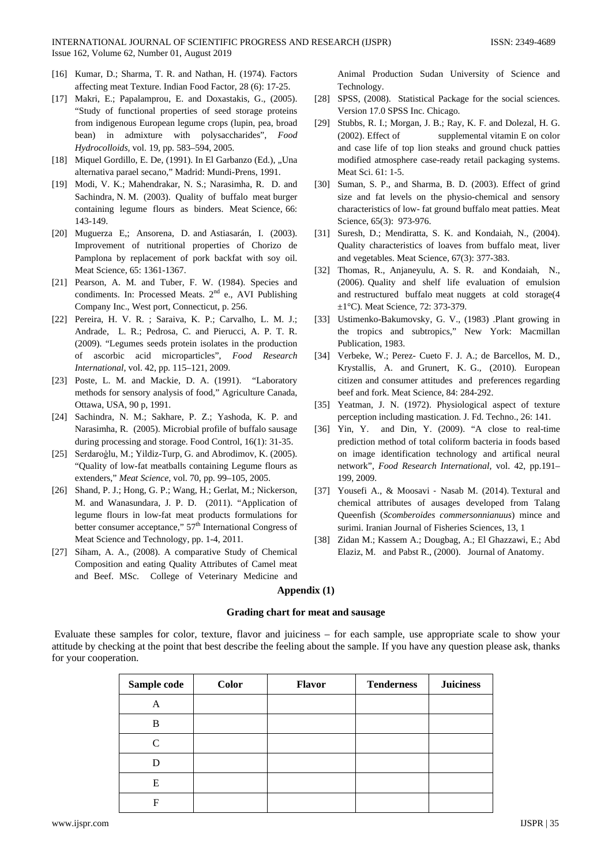- [16] Kumar, D.; Sharma, T. R. and Nathan, H. (1974). Factors affecting meat Texture. Indian Food Factor, 28 (6): 17-25.
- [17] Makri, E.; Papalamprou, E. and Doxastakis, G., (2005). "Study of functional properties of seed storage proteins from indigenous European legume crops (lupin, pea, broad bean) in admixture with polysaccharides", *Food Hydrocolloids,* vol. 19, pp. 583–594, 2005.
- [18] Miquel Gordillo, E. De, (1991). In El Garbanzo (Ed.), "Una alternativa parael secano," Madrid: Mundi-Prens, 1991.
- [19] Modi, V. K.; Mahendrakar, N. S.; Narasimha, R. D. and Sachindra, N. M. (2003). Quality of buffalo meat burger containing legume flours as binders. Meat Science, 66: 143-149.
- [20] Muguerza E,; Ansorena, D. and Astiasarán, I. (2003). Improvement of nutritional properties of Chorizo de Pamplona by replacement of pork backfat with soy oil. Meat Science, 65: 1361-1367.
- [21] Pearson, A. M. and Tuber, F. W. (1984). Species and condiments. In: Processed Meats.  $2<sup>nd</sup>$  e., AVI Publishing Company Inc., West port, Connecticut, p. 256.
- [22] Pereira, H. V. R. ; Saraiva, K. P.; Carvalho, L. M. J.; Andrade, L. R.; Pedrosa, C. and Pierucci, A. P. T. R. (2009). "Legumes seeds protein isolates in the production of ascorbic acid microparticles", *Food Research International*, vol. 42, pp. 115–121, 2009.
- [23] Poste, L. M. and Mackie, D. A. (1991). "Laboratory methods for sensory analysis of food," Agriculture Canada, Ottawa, USA, 90 p, 1991.
- [24] Sachindra, N. M.; Sakhare, P. Z.; Yashoda, K. P. and Narasimha, R. (2005). Microbial profile of buffalo sausage during processing and storage. Food Control, 16(1): 31-35.
- [25] Serdaroģlu, M.; Yildiz-Turp, G. and Abrodimov, K. (2005). "Quality of low-fat meatballs containing Legume flours as extenders," *Meat Science*, vol. 70, pp. 99–105, 2005.
- [26] Shand, P. J.; Hong, G. P.; Wang, H.; Gerlat, M.; Nickerson, M. and Wanasundara, J. P. D. (2011). "Application of legume flours in low-fat meat products formulations for better consumer acceptance,"  $57<sup>th</sup>$  International Congress of Meat Science and Technology, pp. 1-4, 2011.
- [27] Siham, A. A., (2008). A comparative Study of Chemical Composition and eating Quality Attributes of Camel meat and Beef. MSc. College of Veterinary Medicine and

Animal Production Sudan University of Science and Technology.

- [28] SPSS, (2008). Statistical Package for the social sciences. Version 17.0 SPSS Inc. Chicago.
- [29] Stubbs, R. I.; Morgan, J. B.; Ray, K. F. and Dolezal, H. G. (2002). Effect of supplemental vitamin E on color and case life of top lion steaks and ground chuck patties modified atmosphere case-ready retail packaging systems. Meat Sci. 61: 1-5.
- [30] Suman, S. P., and Sharma, B. D. (2003). Effect of grind size and fat levels on the physio-chemical and sensory characteristics of low- fat ground buffalo meat patties. Meat Science, 65(3): 973-976.
- [31] Suresh, D.; Mendiratta, S. K. and Kondaiah, N., (2004). Quality characteristics of loaves from buffalo meat, liver and vegetables. Meat Science, 67(3): 377-383.
- [32] Thomas, R., Anjaneyulu, A. S. R. and Kondaiah, N., (2006). Quality and shelf life evaluation of emulsion and restructured buffalo meat nuggets at cold storage(4 ±1°C). Meat Science, 72: 373-379.
- [33] Ustimenko-Bakumovsky, G. V., (1983) .Plant growing in the tropics and subtropics," New York: Macmillan Publication, 1983.
- [34] Verbeke, W.; Perez- Cueto F. J. A.; de Barcellos, M. D., Krystallis, A. and Grunert, K. G., (2010). European citizen and consumer attitudes and preferences regarding beef and fork. Meat Science, 84: 284-292.
- [35] Yeatman, J. N. (1972). Physiological aspect of texture perception including mastication. J. Fd. Techno., 26: 141.
- [36] Yin, Y. and Din, Y. (2009). "A close to real-time prediction method of total coliform bacteria in foods based on image identification technology and artifical neural network", *Food Research International,* vol. 42, pp.191– 199, 2009.
- [37] Yousefi A., & Moosavi Nasab M. (2014). Textural and chemical attributes of ausages developed from Talang Queenfish (*Scomberoides commersonnianuus*) mince and surimi. Iranian Journal of Fisheries Sciences, 13, 1
- [38] Zidan M.; Kassem A.; Dougbag, A.; El Ghazzawi, E.; Abd Elaziz, M. and Pabst R., (2000). Journal of Anatomy.

#### **Appendix (1)**

### **Grading chart for meat and sausage**

Evaluate these samples for color, texture, flavor and juiciness – for each sample, use appropriate scale to show your attitude by checking at the point that best describe the feeling about the sample. If you have any question please ask, thanks for your cooperation.

| Sample code | <b>Color</b> | <b>Flavor</b> | <b>Tenderness</b> | <b>Juiciness</b> |
|-------------|--------------|---------------|-------------------|------------------|
| A           |              |               |                   |                  |
| B           |              |               |                   |                  |
| C           |              |               |                   |                  |
| D           |              |               |                   |                  |
| E           |              |               |                   |                  |
| F           |              |               |                   |                  |